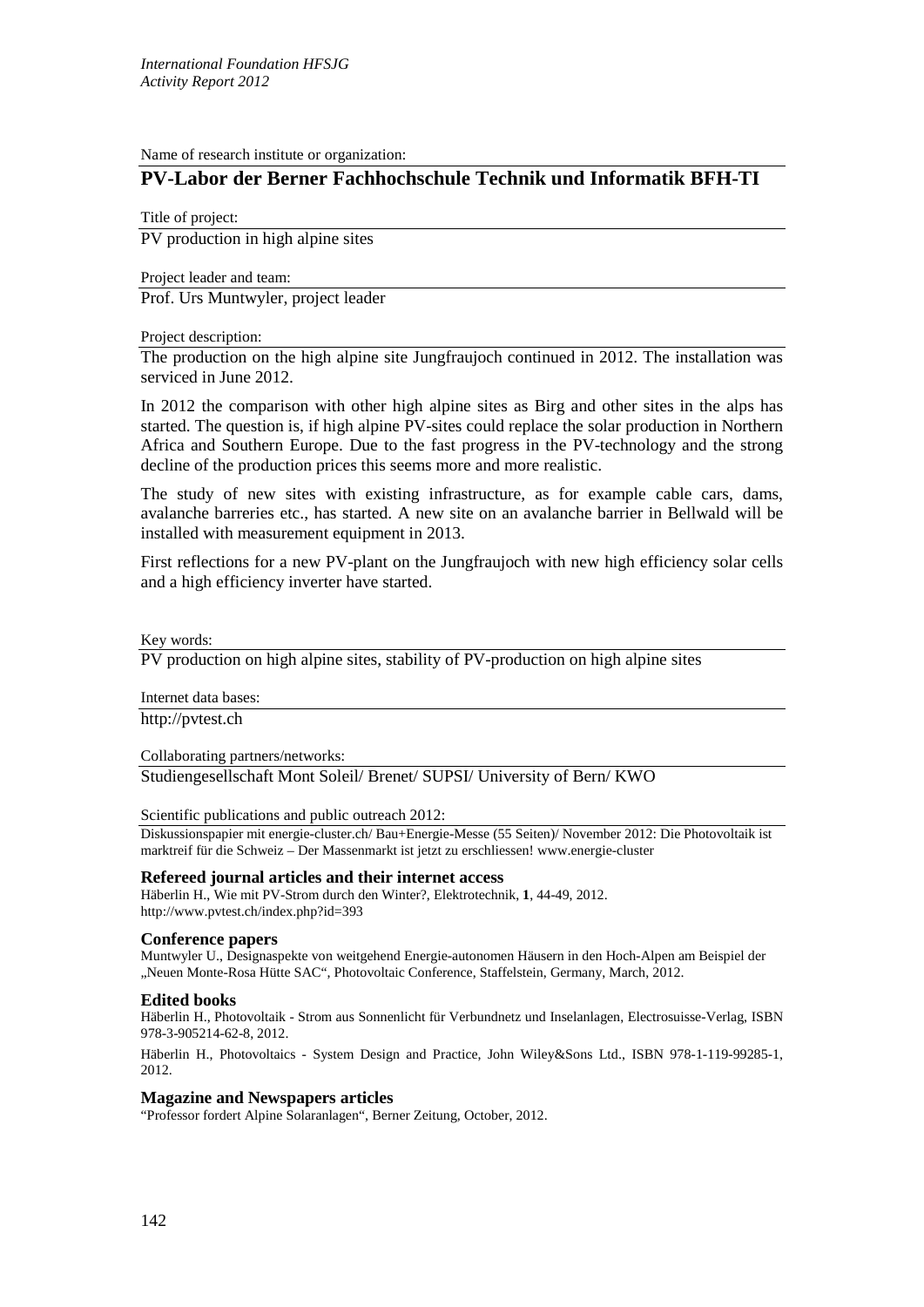Name of research institute or organization:

# **PV-Labor der Berner Fachhochschule Technik und Informatik BFH-TI**

Title of project: PV production in high alpine sites

Project leader and team:

Prof. Urs Muntwyler, project leader

#### Project description:

The production on the high alpine site Jungfraujoch continued in 2012. The installation was serviced in June 2012.

In 2012 the comparison with other high alpine sites as Birg and other sites in the alps has started. The question is, if high alpine PV-sites could replace the solar production in Northern Africa and Southern Europe. Due to the fast progress in the PV-technology and the strong decline of the production prices this seems more and more realistic.

The study of new sites with existing infrastructure, as for example cable cars, dams, avalanche barreries etc., has started. A new site on an avalanche barrier in Bellwald will be installed with measurement equipment in 2013.

First reflections for a new PV-plant on the Jungfraujoch with new high efficiency solar cells and a high efficiency inverter have started.

Key words:

PV production on high alpine sites, stability of PV-production on high alpine sites

Internet data bases:

http://pvtest.ch

Collaborating partners/networks:

Studiengesellschaft Mont Soleil/ Brenet/ SUPSI/ University of Bern/ KWO

Scientific publications and public outreach 2012:

Diskussionspapier mit energie-cluster.ch/ Bau+Energie-Messe (55 Seiten)/ November 2012: Die Photovoltaik ist marktreif für die Schweiz – Der Massenmarkt ist jetzt zu erschliessen! www.energie-cluster

## **Refereed journal articles and their internet access**

Häberlin H., Wie mit PV-Strom durch den Winter?, Elektrotechnik, **1**, 44-49, 2012. http://www.pvtest.ch/index.php?id=393

## **Conference papers**

Muntwyler U., Designaspekte von weitgehend Energie-autonomen Häusern in den Hoch-Alpen am Beispiel der "Neuen Monte-Rosa Hütte SAC", Photovoltaic Conference, Staffelstein, Germany, March, 2012.

## **Edited books**

Häberlin H., Photovoltaik - Strom aus Sonnenlicht für Verbundnetz und Inselanlagen, Electrosuisse-Verlag, ISBN 978-3-905214-62-8, 2012.

Häberlin H., Photovoltaics - System Design and Practice, John Wiley&Sons Ltd., ISBN 978-1-119-99285-1, 2012.

## **Magazine and Newspapers articles**

"Professor fordert Alpine Solaranlagen", Berner Zeitung, October, 2012.